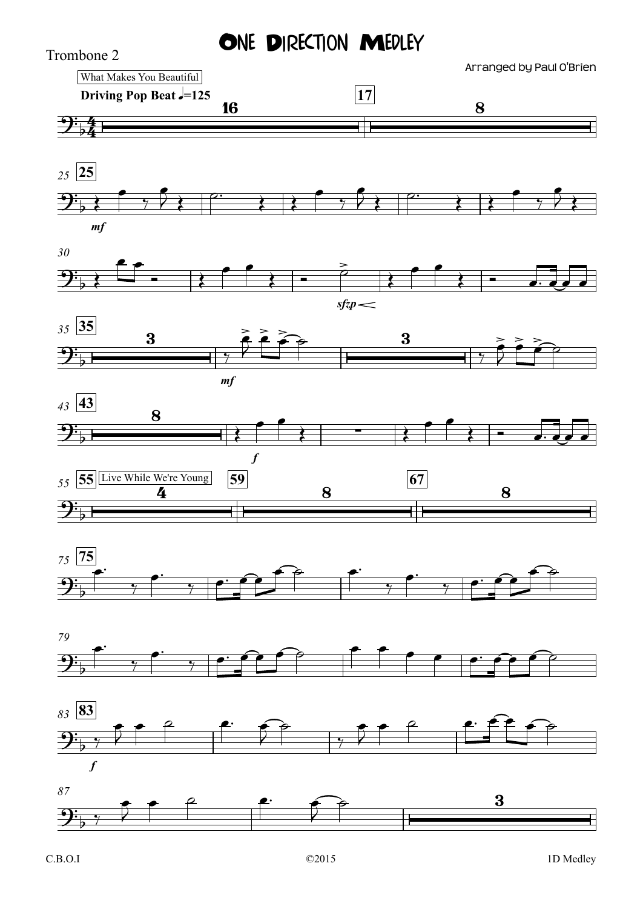## ONE DIRECTION MEDLEY